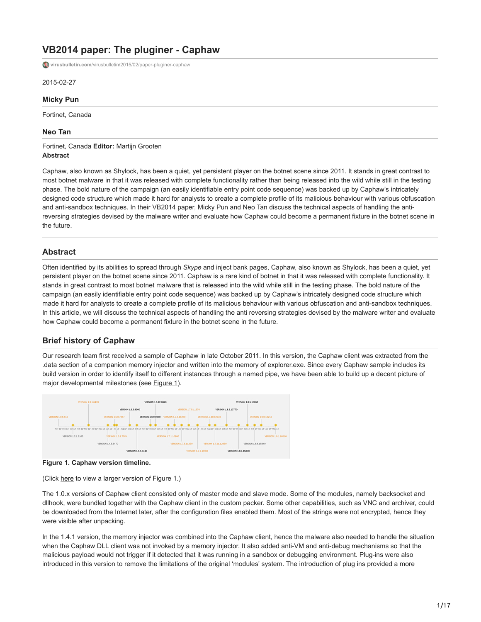# **VB2014 paper: The pluginer - Caphaw**

**virusbulletin.com**[/virusbulletin/2015/02/paper-pluginer-caphaw](https://www.virusbulletin.com/virusbulletin/2015/02/paper-pluginer-caphaw)

2015-02-27

#### **Micky Pun**

Fortinet, Canada

#### **Neo Tan**

Fortinet, Canada **Editor:** Martijn Grooten **Abstract**

Caphaw, also known as Shylock, has been a quiet, yet persistent player on the botnet scene since 2011. It stands in great contrast to most botnet malware in that it was released with complete functionality rather than being released into the wild while still in the testing phase. The bold nature of the campaign (an easily identifiable entry point code sequence) was backed up by Caphaw's intricately designed code structure which made it hard for analysts to create a complete profile of its malicious behaviour with various obfuscation and anti-sandbox techniques. In their VB2014 paper, Micky Pun and Neo Tan discuss the technical aspects of handling the antireversing strategies devised by the malware writer and evaluate how Caphaw could become a permanent fixture in the botnet scene in the future.

## **Abstract**

Often identified by its abilities to spread through *Skype* and inject bank pages, Caphaw, also known as Shylock, has been a quiet, yet persistent player on the botnet scene since 2011. Caphaw is a rare kind of botnet in that it was released with complete functionality. It stands in great contrast to most botnet malware that is released into the wild while still in the testing phase. The bold nature of the campaign (an easily identifiable entry point code sequence) was backed up by Caphaw's intricately designed code structure which made it hard for analysts to create a complete profile of its malicious behaviour with various obfuscation and anti-sandbox techniques. In this article, we will discuss the technical aspects of handling the anti reversing strategies devised by the malware writer and evaluate how Caphaw could become a permanent fixture in the botnet scene in the future.

## **Brief history of Caphaw**

Our research team first received a sample of Caphaw in late October 2011. In this version, the Caphaw client was extracted from the .data section of a companion memory injector and written into the memory of explorer.exe. Since every Caphaw sample includes its build version in order to identify itself to different instances through a named pipe, we have been able to build up a decent picture of major developmental milestones (see Figure 1).





(Click [here](https://www.virusbulletin.com/uploads/images/figures/2015/02/PunTan-1-large.jpg) to view a larger version of Figure 1.)

The 1.0.x versions of Caphaw client consisted only of master mode and slave mode. Some of the modules, namely backsocket and dllhook, were bundled together with the Caphaw client in the custom packer. Some other capabilities, such as VNC and archiver, could be downloaded from the Internet later, after the configuration files enabled them. Most of the strings were not encrypted, hence they were visible after unpacking.

In the 1.4.1 version, the memory injector was combined into the Caphaw client, hence the malware also needed to handle the situation when the Caphaw DLL client was not invoked by a memory injector. It also added anti-VM and anti-debug mechanisms so that the malicious payload would not trigger if it detected that it was running in a sandbox or debugging environment. Plug-ins were also introduced in this version to remove the limitations of the original 'modules' system. The introduction of plug ins provided a more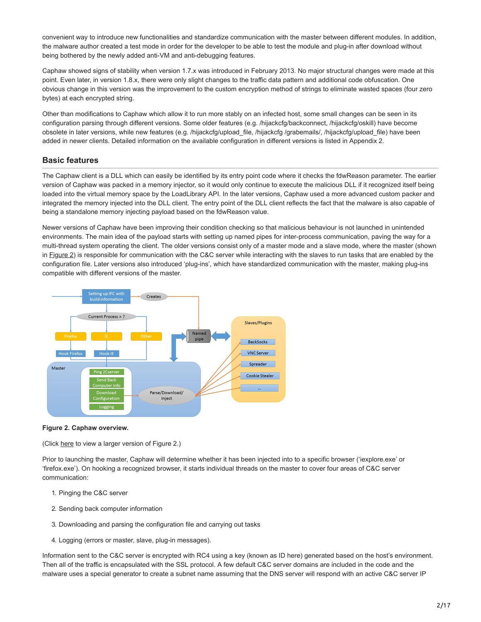convenient way to introduce new functionalities and standardize communication with the master between different modules. In addition, the malware author created a test mode in order for the developer to be able to test the module and plug-in after download without being bothered by the newly added anti-VM and anti-debugging features.

Caphaw showed signs of stability when version 1.7.x was introduced in February 2013. No major structural changes were made at this point. Even later, in version 1.8.x, there were only slight changes to the traffic data pattern and additional code obfuscation. One obvious change in this version was the improvement to the custom encryption method of strings to eliminate wasted spaces (four zero bytes) at each encrypted string.

Other than modifications to Caphaw which allow it to run more stably on an infected host, some small changes can be seen in its configuration parsing through different versions. Some older features (e.g. /hijackcfg/backconnect, /hijackcfg/oskill) have become obsolete in later versions, while new features (e.g. /hijackcfg/upload\_file, /hijackcfg /grabemails/, /hijackcfg/upload\_file) have been added in newer clients. Detailed information on the available configuration in different versions is listed in Appendix 2.

# **Basic features**

The Caphaw client is a DLL which can easily be identified by its entry point code where it checks the fdwReason parameter. The earlier version of Caphaw was packed in a memory injector, so it would only continue to execute the malicious DLL if it recognized itself being loaded into the virtual memory space by the LoadLibrary API. In the later versions, Caphaw used a more advanced custom packer and integrated the memory injected into the DLL client. The entry point of the DLL client reflects the fact that the malware is also capable of being a standalone memory injecting payload based on the fdwReason value.

Newer versions of Caphaw have been improving their condition checking so that malicious behaviour is not launched in unintended environments. The main idea of the payload starts with setting up named pipes for inter-process communication, paving the way for a multi-thread system operating the client. The older versions consist only of a master mode and a slave mode, where the master (shown in Figure 2) is responsible for communication with the C&C server while interacting with the slaves to run tasks that are enabled by the configuration file. Later versions also introduced 'plug-ins', which have standardized communication with the master, making plug-ins compatible with different versions of the master.



#### **Figure 2. Caphaw overview.**

(Click [here](https://www.virusbulletin.com/uploads/images/figures/2015/02/PunTan-2-large.jpg) to view a larger version of Figure 2.)

Prior to launching the master, Caphaw will determine whether it has been injected into to a specific browser ('iexplore.exe' or 'firefox.exe'). On hooking a recognized browser, it starts individual threads on the master to cover four areas of C&C server communication:

- 1. Pinging the C&C server
- 2. Sending back computer information
- 3. Downloading and parsing the configuration file and carrying out tasks
- 4. Logging (errors or master, slave, plug-in messages).

Information sent to the C&C server is encrypted with RC4 using a key (known as ID here) generated based on the host's environment. Then all of the traffic is encapsulated with the SSL protocol. A few default C&C server domains are included in the code and the malware uses a special generator to create a subnet name assuming that the DNS server will respond with an active C&C server IP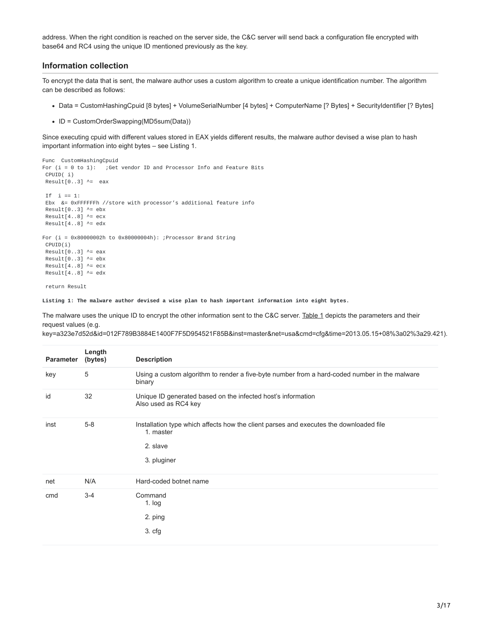address. When the right condition is reached on the server side, the C&C server will send back a configuration file encrypted with base64 and RC4 using the unique ID mentioned previously as the key.

#### **Information collection**

To encrypt the data that is sent, the malware author uses a custom algorithm to create a unique identification number. The algorithm can be described as follows:

- Data = CustomHashingCpuid [8 bytes] + VolumeSerialNumber [4 bytes] + ComputerName [? Bytes] + SecurityIdentifier [? Bytes]
- ID = CustomOrderSwapping(MD5sum(Data))

Since executing cpuid with different values stored in EAX yields different results, the malware author devised a wise plan to hash important information into eight bytes – see Listing 1.

```
Func CustomHashingCpuid
For (i = 0 to 1): ; Get vendor ID and Processor Info and Feature Bits
CPUID( i)
Result[0..3] ^= eax
If i == 1:
Ebx &= 0xFFFFFFh //store with processor's additional feature info
Result[0..3] ^= ebx
Result[4..8] ^= ecx
Result[4..8] ^= edx
For (i = 0x80000002h to 0x80000004h): ;Processor Brand String
CPUID(i)
Result[0..3] ^= eax
Result[0..3] ^= ebx
Result[4..8] ^= ecx
Result[4..8] ^= edx
```
return Result

**Listing 1: The malware author devised a wise plan to hash important information into eight bytes.**

The malware uses the unique ID to encrypt the other information sent to the C&C server. Table 1 depicts the parameters and their request values (e.g.

key=a323e7d52d&id=012F789B3884E1400F7F5D954521F85B&inst=master&net=usa&cmd=cfg&time=2013.05.15+08%3a02%3a29.421).

| <b>Parameter</b> | Length<br>(bytes) | <b>Description</b>                                                                                                             |
|------------------|-------------------|--------------------------------------------------------------------------------------------------------------------------------|
| key              | 5                 | Using a custom algorithm to render a five-byte number from a hard-coded number in the malware<br>binary                        |
| id               | 32                | Unique ID generated based on the infected host's information<br>Also used as RC4 key                                           |
| inst             | $5-8$             | Installation type which affects how the client parses and executes the downloaded file<br>1. master<br>2. slave<br>3. pluginer |
| net              | N/A               | Hard-coded botnet name                                                                                                         |
| cmd              | $3 - 4$           | Command<br>$1.$ log<br>2. ping<br>3. cfg                                                                                       |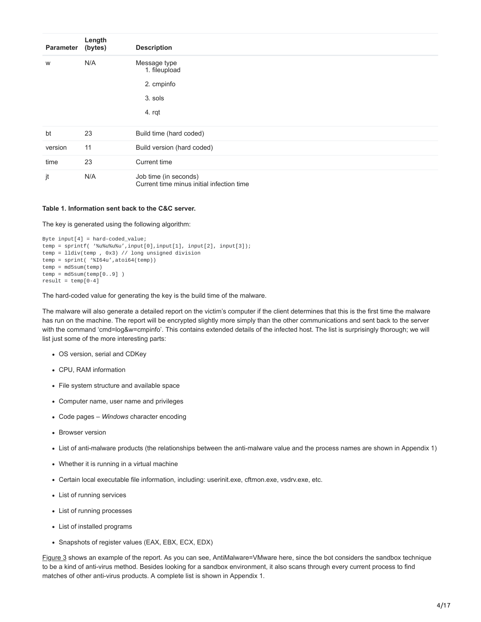| <b>Parameter</b> | Length<br>(bytes) | <b>Description</b>                                                 |  |  |
|------------------|-------------------|--------------------------------------------------------------------|--|--|
| W                | N/A               | Message type<br>1. fileupload                                      |  |  |
|                  |                   | 2. cmpinfo                                                         |  |  |
|                  |                   | 3. sols                                                            |  |  |
|                  |                   | 4. rqt                                                             |  |  |
| bt               | 23                | Build time (hard coded)                                            |  |  |
| version          | 11                | Build version (hard coded)                                         |  |  |
| time             | 23                | Current time                                                       |  |  |
| jt               | N/A               | Job time (in seconds)<br>Current time minus initial infection time |  |  |

#### **Table 1. Information sent back to the C&C server.**

The key is generated using the following algorithm:

```
Byte input[4] = hard-coded_value;temp = sprintf( '%u%u%u%u',input[0],input[1], input[2], input[3]);
temp = lldiv(temp , 0x3) // long unsigned division
temp = sprint( '%I64u', atoi64(temp))
temp = md5sum(temp)temp = md5sum(temp[0..9])result = temp[0-4]
```
The hard-coded value for generating the key is the build time of the malware.

The malware will also generate a detailed report on the victim's computer if the client determines that this is the first time the malware has run on the machine. The report will be encrypted slightly more simply than the other communications and sent back to the server with the command 'cmd=log&w=cmpinfo'. This contains extended details of the infected host. The list is surprisingly thorough; we will list just some of the more interesting parts:

- OS version, serial and CDKey
- CPU, RAM information
- File system structure and available space
- Computer name, user name and privileges
- Code pages *Windows* character encoding
- **Browser version**
- List of anti-malware products (the relationships between the anti-malware value and the process names are shown in Appendix 1)
- Whether it is running in a virtual machine
- Certain local executable file information, including: userinit.exe, cftmon.exe, vsdrv.exe, etc.
- List of running services
- List of running processes
- List of installed programs
- Snapshots of register values (EAX, EBX, ECX, EDX)

Figure 3 shows an example of the report. As you can see, AntiMalware=VMware here, since the bot considers the sandbox technique to be a kind of anti-virus method. Besides looking for a sandbox environment, it also scans through every current process to find matches of other anti-virus products. A complete list is shown in Appendix 1.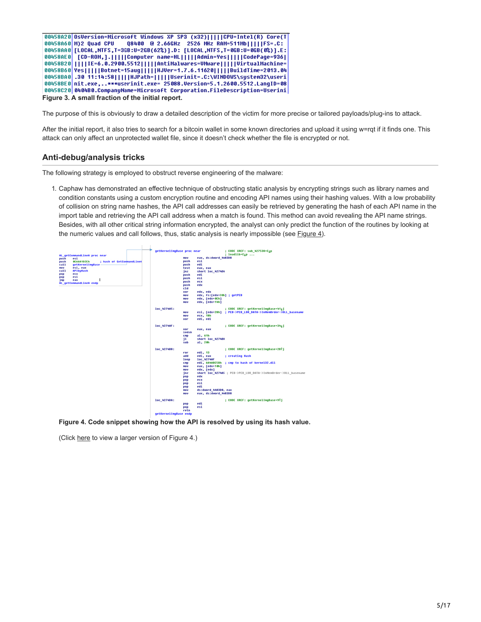

The purpose of this is obviously to draw a detailed description of the victim for more precise or tailored payloads/plug-ins to attack.

After the initial report, it also tries to search for a bitcoin wallet in some known directories and upload it using w=rqt if it finds one. This attack can only affect an unprotected wallet file, since it doesn't check whether the file is encrypted or not.

# **Anti-debug/analysis tricks**

The following strategy is employed to obstruct reverse engineering of the malware:

1. Caphaw has demonstrated an effective technique of obstructing static analysis by encrypting strings such as library names and condition constants using a custom encryption routine and encoding API names using their hashing values. With a low probability of collision on string name hashes, the API call addresses can easily be retrieved by generating the hash of each API name in the import table and retrieving the API call address when a match is found. This method can avoid revealing the API name strings. Besides, with all other critical string information encrypted, the analyst can only predict the function of the routines by looking at



**Figure 4. Code snippet showing how the API is resolved by using its hash value.**

(Click [here](https://www.virusbulletin.com/uploads/images/figures/2015/02/PunTan-4-large.jpg) to view a larger version of Figure 4.)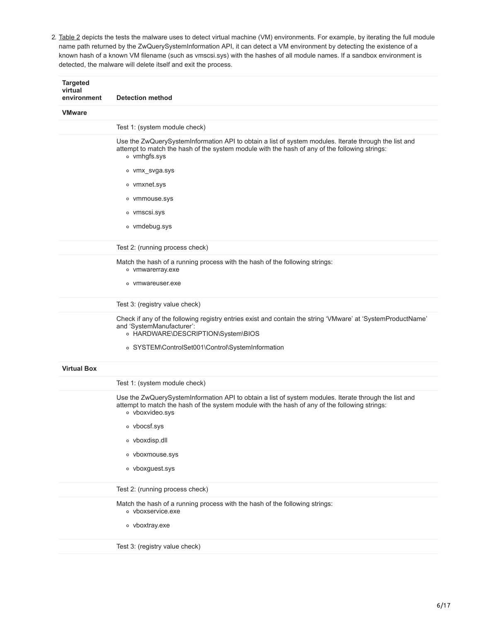2. Table 2 depicts the tests the malware uses to detect virtual machine (VM) environments. For example, by iterating the full module name path returned by the ZwQuerySystemInformation API, it can detect a VM environment by detecting the existence of a known hash of a known VM filename (such as vmscsi.sys) with the hashes of all module names. If a sandbox environment is detected, the malware will delete itself and exit the process.

| <b>Targeted</b><br>virtual<br>environment | <b>Detection method</b>                                                                                                                                                                                                            |
|-------------------------------------------|------------------------------------------------------------------------------------------------------------------------------------------------------------------------------------------------------------------------------------|
| <b>VMware</b>                             |                                                                                                                                                                                                                                    |
|                                           | Test 1: (system module check)                                                                                                                                                                                                      |
|                                           | Use the ZwQuerySystemInformation API to obtain a list of system modules. Iterate through the list and<br>attempt to match the hash of the system module with the hash of any of the following strings:<br>o vmhgfs.sys             |
|                                           | ∘ vmx_svga.sys                                                                                                                                                                                                                     |
|                                           | o vmxnet.sys                                                                                                                                                                                                                       |
|                                           | ○ vmmouse.sys                                                                                                                                                                                                                      |
|                                           | o vmscsi.sys                                                                                                                                                                                                                       |
|                                           | o vmdebug.sys                                                                                                                                                                                                                      |
|                                           | Test 2: (running process check)                                                                                                                                                                                                    |
|                                           | Match the hash of a running process with the hash of the following strings:<br>o vmwarerray.exe                                                                                                                                    |
|                                           | • vmwareuser.exe                                                                                                                                                                                                                   |
|                                           | Test 3: (registry value check)                                                                                                                                                                                                     |
|                                           | Check if any of the following registry entries exist and contain the string 'VMware' at 'SystemProductName'<br>and 'SystemManufacturer':<br>○ HARDWARE\DESCRIPTION\System\BIOS<br>○ SYSTEM\ControlSet001\Control\SystemInformation |
| <b>Virtual Box</b>                        |                                                                                                                                                                                                                                    |
|                                           | Test 1: (system module check)                                                                                                                                                                                                      |
|                                           | Use the ZwQuerySystemInformation API to obtain a list of system modules. Iterate through the list and<br>attempt to match the hash of the system module with the hash of any of the following strings:<br>o vboxvideo.sys          |
|                                           | o vbocsf.sys                                                                                                                                                                                                                       |
|                                           | o vboxdisp.dll                                                                                                                                                                                                                     |
|                                           | o vboxmouse.sys                                                                                                                                                                                                                    |
|                                           | o vboxguest.sys                                                                                                                                                                                                                    |
|                                           | Test 2: (running process check)                                                                                                                                                                                                    |
|                                           | Match the hash of a running process with the hash of the following strings:<br>o vboxservice.exe                                                                                                                                   |
|                                           | o vboxtray.exe                                                                                                                                                                                                                     |
|                                           | Test 3: (registry value check)                                                                                                                                                                                                     |
|                                           |                                                                                                                                                                                                                                    |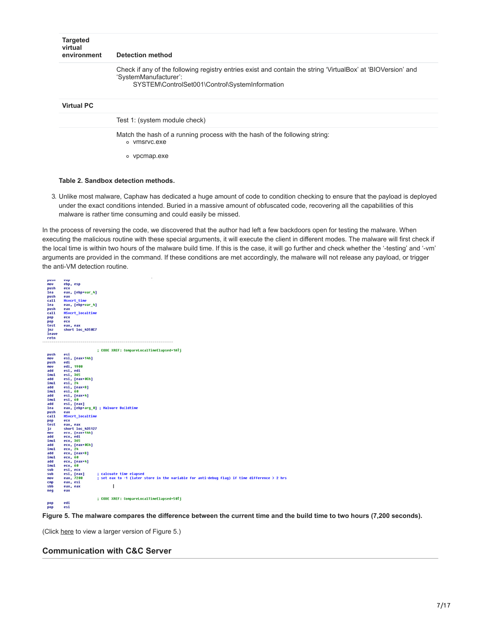| <b>Targeted</b><br>virtual<br>environment | Detection method                                                                                                                                                                        |
|-------------------------------------------|-----------------------------------------------------------------------------------------------------------------------------------------------------------------------------------------|
|                                           | Check if any of the following registry entries exist and contain the string 'VirtualBox' at 'BIOVersion' and<br>'SystemManufacturer':<br>SYSTEM\ControlSet001\Control\SystemInformation |
| <b>Virtual PC</b>                         |                                                                                                                                                                                         |
|                                           | Test 1: (system module check)                                                                                                                                                           |
|                                           | Match the hash of a running process with the hash of the following string:<br>• vmsrvc.exe                                                                                              |
|                                           | • vpcmap.exe                                                                                                                                                                            |

#### **Table 2. Sandbox detection methods.**

3. Unlike most malware, Caphaw has dedicated a huge amount of code to condition checking to ensure that the payload is deployed under the exact conditions intended. Buried in a massive amount of obfuscated code, recovering all the capabilities of this malware is rather time consuming and could easily be missed.

In the process of reversing the code, we discovered that the author had left a few backdoors open for testing the malware. When executing the malicious routine with these special arguments, it will execute the client in different modes. The malware will first check if the local time is within two hours of the malware build time. If this is the case, it will go further and check whether the '-testing' and '-vm' arguments are provided in the command. If these conditions are met accordingly, the malware will not release any payload, or trigger the anti-VM detection routine.



**Figure 5. The malware compares the difference between the current time and the build time to two hours (7,200 seconds).**

(Click [here](https://www.virusbulletin.com/uploads/images/figures/2015/02/PunTan-5-large.jpg) to view a larger version of Figure 5.)

## **Communication with C&C Server**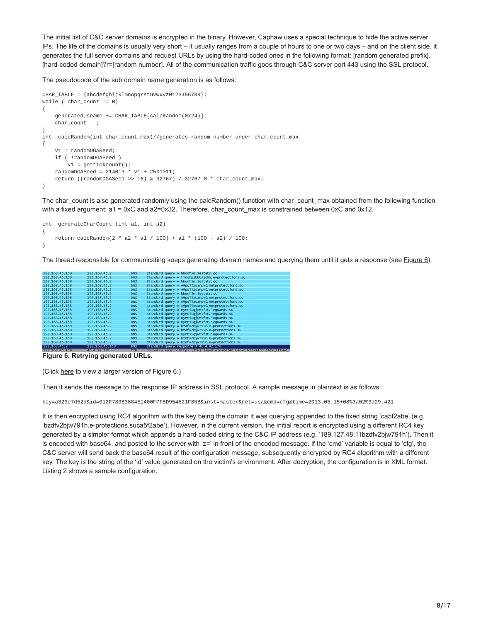The initial list of C&C server domains is encrypted in the binary. However, Caphaw uses a special technique to hide the active server IPs. The life of the domains is usually very short – it usually ranges from a couple of hours to one or two days – and on the client side, it generates the full server domains and request URLs by using the hard-coded ones in the following format: [random generated prefix]. [hard-coded domain]?r=[random number]. All of the communication traffic goes through C&C server port 443 using the SSL protocol.

The pseudocode of the sub domain name generation is as follows:

```
CHAR_TABLE = {abcdefghijklmnopqrstuvwxyz0123456789};
while ( char\_count != 0)
{
   generated_sname += CHAR_TABLE[calcRandom(0x24)];
   char_count --;
}
int calcRandom(int char_count_max)//generates random number under char_count_max
{
   v1 = randomDGASeed;
   if ( !randomDGASeed )
       v1 = gettickcount();
   randomDGASeed = 214013 * v1 + 2531011;
   return ((randomDGASeed >> 16) & 32767) / 32767.0 * char_count_max;
}
```
The char count is also generated randomly using the calcRandom() function with char count max obtained from the following function with a fixed argument: a1 = 0xC and a2=0x32. Therefore, char\_count\_max is constrained between 0xC and 0x12.

```
int generateCharCount (int a1, int a2)
{
    return calcRandom(2 * a2 * a1 / 100) + a1 * (100 - a2) / 100;
}
```
The thread responsible for communicating keeps generating domain names and querying them until it gets a response (see Figure 6).

| 192.168.45.158  | 192.168.45.2           | DNS        | Standard query A bbgnf5m.iestats.cc                                                  |
|-----------------|------------------------|------------|--------------------------------------------------------------------------------------|
| 192.168.45.158  | 192.168.45.2           | <b>DNS</b> | Standard query A fidonpzbbbsz6bb.e-protections.su                                    |
| 192.168.45.158  | 192.168.45.2           | DNS        | Standard query A bbgnf5m.iestats.cc                                                  |
| 192.168.45.158  | 192.168.45.2           | DNS        | Standard query A w9pqllzsarpv0.netprotections.su                                     |
| 192.168.45.158  | 192.168.45.2           | DNS.       | Standard query A w9pqllzsarpv0.netprotections.su                                     |
| 192.168.45.158  | 192.168.45.2           | DNS        | Standard query A bbgnf5m. lestats.cc                                                 |
| 192.168.45.158  | 192.168.45.2           | DNS        | Standard query A w9pgllzsarpv0.netprotections.su                                     |
| 192.168.45.158  | 192.168.45.2           | DNS        | Standard query A w9pgllzsarpv0.netprotections.su                                     |
| 192.168.45.158  | 192.168.45.2           | DNS        | Standard query A w9pqllzsarpv0.netprotections.su                                     |
| 192.168.45.158  | 192.168.45.2           | DNS        | Standard query A nyrtilgjwmxfzt.iequards.su                                          |
| 192.168.45.158  | 192.168.45.2           | DNS        | Standard query A nyrtilgiwmxfzt.iequards.su                                          |
| 192.168.45.158  | 192.168.45.2           | DNS        | Standard query A nyrtilgjwmxfzt.iequards.su                                          |
| 192.168.45.158  | 192.168.45.2           | DNS        | Standard query A nyrtilgjwmxfzt.iequards.su                                          |
| 192.168.45.158  | 192, 168, 45, 2        | DNS        | Standard query A bzdfv2b1w791h.e-protections.su                                      |
| 192.168.45.158  | 192.168.45.2           | DNS        | Standard query A bzdfv2bjw791h.e-protections.su                                      |
| 192.168.45.158  | 192.168.45.2           | DNS.       | Standard query A nyrtilgjwmxfzt.iequards.su                                          |
| 192.168.45.158  | 192.168.45.2           | <b>DNS</b> | Standard query A bzdfv2bjw791h.e-protections.su                                      |
| 192.168.45.158  | 192.168.45.2           | DNS        | Standard query A bzdfv2bjw791h.e-protections.su                                      |
| 192, 168, 45, 2 | 192.168.45.158         | DNS        | Standard query response A 46.4.92.174                                                |
| 102 160 45 150  | $A \subseteq A$ 02.374 | <b>WAD</b> | $discentral$ one $s$ https: $SVM$ can 0 $sA$ $n=61240$ i an 0 $MGE-3460$ casy nepart |

**Figure 6. Retrying generated URLs.**

(Click [here](https://www.virusbulletin.com/uploads/images/figures/2015/02/PunTan-6-large.jpg) to view a larger version of Figure 6.)

Then it sends the message to the response IP address in SSL protocol. A sample message in plaintext is as follows:

key=a323e7d52d&id=012F789B3884E1400F7F5D954521F85B&inst=master&net=usa&cmd=cfg&time=2013.05.15+08%3a02%3a29.421

It is then encrypted using RC4 algorithm with the key being the domain it was querying appended to the fixed string 'ca5f2abe' (e.g. 'bzdfv2bjw791h.e-protections.suca5f2abe'). However, in the current version, the initial report is encrypted using a different RC4 key generated by a simpler format which appends a hard-coded string to the C&C IP address (e.g. '189.127.48.11bzdfv2bjw791h'). Then it is encoded with base64, and posted to the server with 'z=' in front of the encoded message. If the 'cmd' variable is equal to 'cfg', the C&C server will send back the base64 result of the configuration message, subsequently encrypted by RC4 algorithm with a different key. The key is the string of the 'id' value generated on the victim's environment. After decryption, the configuration is in XML format. Listing 2 shows a sample configuration.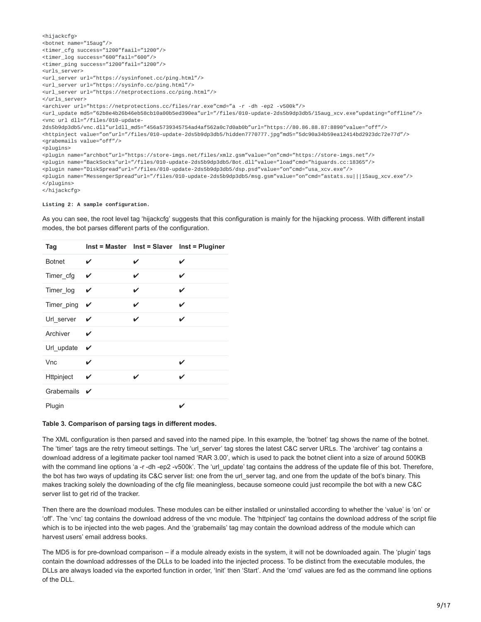```
<hijackcfg>
<botnet name="15aug"/>
<timer_cfg success="1200"faail="1200"/>
<timer_log success="600"fail="600"/>
<timer_ping success="1200"fail="1200"/>
<urls_server>
<url_server url="https://sysinfonet.cc/ping.html"/>
<url_server url="https://sysinfo.cc/ping.html"/>
<url_server url="https://netprotections.cc/ping.html"/>
</urls_server>
<archiver url="https://netprotections.cc/files/rar.exe"cmd="a -r -dh -ep2 -v500k"/>
<url_update md5="62b8e4b26b46eb58cb10a00b5ed390ea"url="/files/010-update-2ds5b9dp3db5/15aug_xcv.exe"updating="offline"/>
<vnc url dll="/files/010-update-
2ds5b9dp3db5/vnc.dll"urldll_md5="456a5739345754ad4af562a0c7d0ab0b"url="https://80.86.88.87:8890"value="off"/>
<httpinject value="on"url="/files/010-update-2ds5b9dp3db5/hidden7770777.jpg"md5="5dc90a34b59ea12414bd2923dc72e77d"/>
<grabemails value="off"/>
<plugins>
<plugin name="archbot"url="https://store-imgs.net/files/xmlz.gsm"value="on"cmd="https://store-imgs.net"/>
<plugin name="BackSocks"url="/files/010-update-2ds5b9dp3db5/Bot.dll"value="load"cmd="higuards.cc:18365"/>
<plugin name="DiskSpread"url="/files/010-update-2ds5b9dp3db5/dsp.psd"value="on"cmd="usa_xcv.exe"/>
<plugin name="MessengerSpread"url="/files/010-update-2ds5b9dp3db5/msg.gsm"value="on"cmd="astats.su|||15aug_xcv.exe"/>
</plugins>
</hijackcfg>
```
**Listing 2: A sample configuration.**

As you can see, the root level tag 'hijackcfg' suggests that this configuration is mainly for the hijacking process. With different install modes, the bot parses different parts of the configuration.

| Tag           |   |   | Inst = Master Inst = Slaver Inst = Pluginer |
|---------------|---|---|---------------------------------------------|
| <b>Botnet</b> | ✓ | ✓ | V                                           |
| Timer_cfg     | ✓ | ✓ | V                                           |
| Timer_log     | ✓ | ✓ | V                                           |
| Timer_ping    | ✓ | ✓ | ✓                                           |
| Url_server    | ✓ | ✓ | ✓                                           |
| Archiver      | ✓ |   |                                             |
| Url_update    | ✓ |   |                                             |
| Vnc           |   |   | V                                           |
| Httpinject    | ✓ | ✔ | ✓                                           |
| Grabemails    | ✓ |   |                                             |
| Plugin        |   |   |                                             |

#### **Table 3. Comparison of parsing tags in different modes.**

The XML configuration is then parsed and saved into the named pipe. In this example, the 'botnet' tag shows the name of the botnet. The 'timer' tags are the retry timeout settings. The 'url\_server' tag stores the latest C&C server URLs. The 'archiver' tag contains a download address of a legitimate packer tool named 'RAR 3.00', which is used to pack the botnet client into a size of around 500KB with the command line options 'a -r -dh -ep2 -v500k'. The 'url\_update' tag contains the address of the update file of this bot. Therefore, the bot has two ways of updating its C&C server list: one from the url\_server tag, and one from the update of the bot's binary. This makes tracking solely the downloading of the cfg file meaningless, because someone could just recompile the bot with a new C&C server list to get rid of the tracker.

Then there are the download modules. These modules can be either installed or uninstalled according to whether the 'value' is 'on' or 'off'. The 'vnc' tag contains the download address of the vnc module. The 'httpinject' tag contains the download address of the script file which is to be injected into the web pages. And the 'grabemails' tag may contain the download address of the module which can harvest users' email address books.

The MD5 is for pre-download comparison – if a module already exists in the system, it will not be downloaded again. The 'plugin' tags contain the download addresses of the DLLs to be loaded into the injected process. To be distinct from the executable modules, the DLLs are always loaded via the exported function in order, 'Init' then 'Start'. And the 'cmd' values are fed as the command line options of the DLL.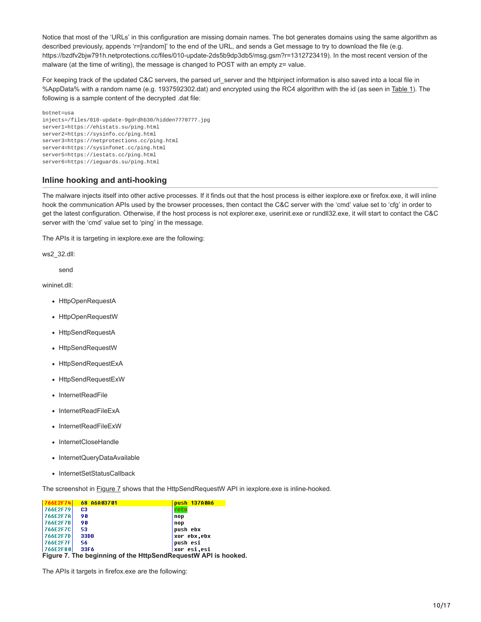Notice that most of the 'URLs' in this configuration are missing domain names. The bot generates domains using the same algorithm as described previously, appends 'r=[random]' to the end of the URL, and sends a Get message to try to download the file (e.g. https://bzdfv2bjw791h.netprotections.cc/files/010-update-2ds5b9dp3db5/msg.gsm?r=1312723419). In the most recent version of the malware (at the time of writing), the message is changed to POST with an empty  $z =$  value.

For keeping track of the updated C&C servers, the parsed url\_server and the httpinject information is also saved into a local file in %AppData% with a random name (e.g. 1937592302.dat) and encrypted using the RC4 algorithm with the id (as seen in Table 1). The following is a sample content of the decrypted .dat file:

```
botnet=usa
injects=/files/010-update-9gdrdhb30/hidden7770777.jpg
server1=https://ehistats.su/ping.html
server2=https://sysinfo.cc/ping.html
server3=https://netprotections.cc/ping.html
server4=https://sysinfonet.cc/ping.html
server5=https://iestats.cc/ping.html
server6=https://ieguards.su/ping.html
```
## **Inline hooking and anti-hooking**

The malware injects itself into other active processes. If it finds out that the host process is either iexplore.exe or firefox.exe, it will inline hook the communication APIs used by the browser processes, then contact the C&C server with the 'cmd' value set to 'cfg' in order to get the latest configuration. Otherwise, if the host process is not explorer.exe, userinit.exe or rundll32.exe, it will start to contact the C&C server with the 'cmd' value set to 'ping' in the message.

The APIs it is targeting in iexplore.exe are the following:

ws2\_32.dll:

send

wininet.dll:

- HttpOpenRequestA
- HttpOpenRequestW
- HttpSendRequestA
- HttpSendRequestW
- HttpSendRequestExA
- HttpSendRequestExW
- InternetReadFile
- InternetReadFileExA
- InternetReadFileExW
- InternetCloseHandle
- InternetQueryDataAvailable
- InternetSetStatusCallback

The screenshot in **Figure 7** shows that the HttpSendRequestW API in iexplore.exe is inline-hooked.

| <b>766E2F74</b>                                                | 68 86803701 | push 137A0A6 |  |  |
|----------------------------------------------------------------|-------------|--------------|--|--|
| 766E2F79                                                       | C3          | retn         |  |  |
| 766E2F7A                                                       | 90          | nop          |  |  |
| 766E2F7B                                                       | 90          | nop          |  |  |
| 766E2F7C                                                       | 53          | push ebx     |  |  |
| 766E2F7D                                                       | 33DB        | xor ebx.ebx  |  |  |
| <b>766E2F7F</b>                                                | 56          | push esi     |  |  |
| 766E2F80                                                       | 33F6        | xor esi.esi  |  |  |
| Figure 7. The beginning of the HttpSendReguestW API is hooked. |             |              |  |  |

The APIs it targets in firefox.exe are the following: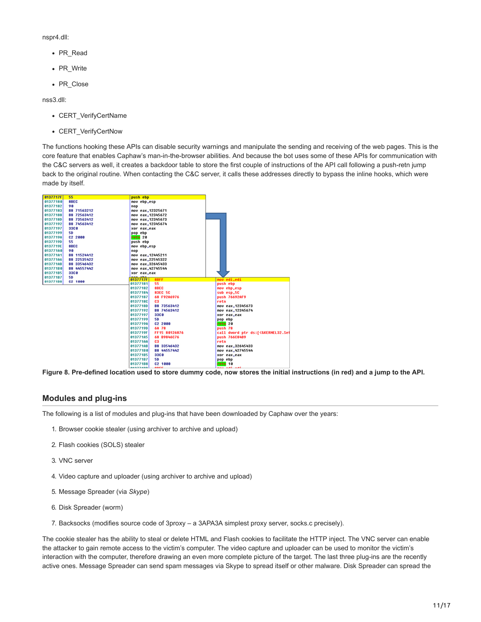nspr4.dll:

- PR\_Read
- PR\_Write
- PR\_Close

nss3.dll:

- CERT\_VerifyCertName
- CERT\_VerifyCertNow

The functions hooking these APIs can disable security warnings and manipulate the sending and receiving of the web pages. This is the core feature that enables Caphaw's man-in-the-browser abilities. And because the bot uses some of these APIs for communication with the C&C servers as well, it creates a backdoor table to store the first couple of instructions of the API call following a push-retn jump back to the original routine. When contacting the C&C server, it calls these addresses directly to bypass the inline hooks, which were made by itself.

| 0137717F | 55                  | push ebp                         |                                   |
|----------|---------------------|----------------------------------|-----------------------------------|
| 01377180 | <b>SBEC</b>         | nov ebp.esp                      |                                   |
| 01377182 | 98                  |                                  |                                   |
| 01377183 | 88 71563212         | nop<br>mov eax, 12325671         |                                   |
| 01377188 |                     |                                  |                                   |
|          | B8 72563412         | nov eax, 12345672                |                                   |
| 0137718D | B8 73563412         | nov eax, 12345673                |                                   |
| 01377192 | 88 74563412         | mou eax.12345674                 |                                   |
| 01377197 | 33C 0               | xor eax, eax                     |                                   |
| 01377199 | 50                  | pop ebp                          |                                   |
| 0137719A | C <sub>2</sub> 2000 | retn <sub>20</sub>               |                                   |
| 0137719D | 55                  | push ebp                         |                                   |
| 0137719E | <b>SBEC</b>         | nov ebp.esp                      |                                   |
| 01377180 | 90                  | nop                              |                                   |
| 01377181 | 88 11524412         | mov eax, 12445211                |                                   |
| 01377186 | 88 22535422         | mov eax.22545322                 |                                   |
| 01377188 | 88 33546432         | mou eax, 32645433                |                                   |
| 01377180 | 88 44557442         | mou eax, 42745544                |                                   |
| 01377185 | 33CO                | xor eax, eax                     |                                   |
| 01377187 | 50                  | nan ahn<br>0137717F<br>8BFF      | nou edi.edi                       |
| 01377188 | C <sub>2</sub> 1888 | 01377181<br>55                   | push ebp                          |
|          |                     | 01377182<br>8BEC                 | nov ebp,esp                       |
|          |                     | 01377184<br><b>83EC 5C</b>       | sub esp.5C                        |
|          |                     | 01377187<br>68 F92A6976          | push 76692AF9                     |
|          |                     | 0137718C<br>C3                   | retn                              |
|          |                     | 0137718D<br>88 73563412          | mou eax, 12345673                 |
|          |                     | 01377192<br>88 74563412          | mou eax, 12345674                 |
|          |                     | 01377197<br><b>33C0</b>          | xor eax, eax                      |
|          |                     | 01377199<br><b>50</b>            | pop ebp                           |
|          |                     | 0137719A<br>C <sub>2</sub> 2000  | retn <sub>20</sub>                |
|          |                     | 0137719D<br>68 78                | push 78                           |
|          |                     | 0137719F<br>FF15 80126876        | call dword ptr ds:[<&KERNEL32.Set |
|          |                     | 01377185<br>68 B9846C76          | push 766C84B9                     |
|          |                     | 013771AA<br>C3                   | retn                              |
|          |                     | 013771AB<br>88 33546432          | nov eax, 32645433                 |
|          |                     | 01377180<br>88 44557442          | mov eax, 42745544                 |
|          |                     | 01377185<br><b>33C0</b>          | xor eax, eax                      |
|          |                     | 01377187<br>50                   | pop ebp                           |
|          |                     | 01377188<br>C2 1888              | retn 10                           |
|          |                     | 84833488 <b>1</b><br><b>ABEE</b> | -----------                       |

**Figure 8. Pre-defined location used to store dummy code, now stores the initial instructions (in red) and a jump to the API.**

## **Modules and plug-ins**

The following is a list of modules and plug-ins that have been downloaded by Caphaw over the years:

- 1. Browser cookie stealer (using archiver to archive and upload)
- 2. Flash cookies (SOLS) stealer
- 3. VNC server
- 4. Video capture and uploader (using archiver to archive and upload)
- 5. Message Spreader (via *Skype*)
- 6. Disk Spreader (worm)
- 7. Backsocks (modifies source code of 3proxy a 3APA3A simplest proxy server, socks.c precisely).

The cookie stealer has the ability to steal or delete HTML and Flash cookies to facilitate the HTTP inject. The VNC server can enable the attacker to gain remote access to the victim's computer. The video capture and uploader can be used to monitor the victim's interaction with the computer, therefore drawing an even more complete picture of the target. The last three plug-ins are the recently active ones. Message Spreader can send spam messages via Skype to spread itself or other malware. Disk Spreader can spread the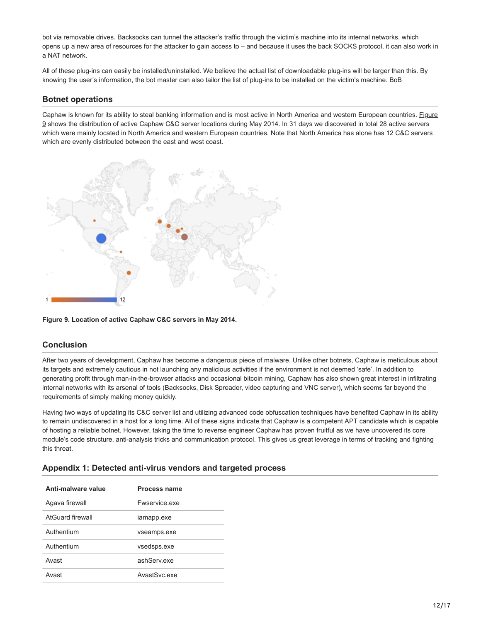bot via removable drives. Backsocks can tunnel the attacker's traffic through the victim's machine into its internal networks, which opens up a new area of resources for the attacker to gain access to – and because it uses the back SOCKS protocol, it can also work in a NAT network.

All of these plug-ins can easily be installed/uninstalled. We believe the actual list of downloadable plug-ins will be larger than this. By knowing the user's information, the bot master can also tailor the list of plug-ins to be installed on the victim's machine. BoB

# **Botnet operations**

Caphaw is known for its ability to steal banking information and is most active in North America and western European countries. Figure 9 shows the distribution of active Caphaw C&C server locations during May 2014. In 31 days we discovered in total 28 active servers which were mainly located in North America and western European countries. Note that North America has alone has 12 C&C servers which are evenly distributed between the east and west coast.



#### **Figure 9. Location of active Caphaw C&C servers in May 2014.**

# **Conclusion**

After two years of development, Caphaw has become a dangerous piece of malware. Unlike other botnets, Caphaw is meticulous about its targets and extremely cautious in not launching any malicious activities if the environment is not deemed 'safe'. In addition to generating profit through man-in-the-browser attacks and occasional bitcoin mining, Caphaw has also shown great interest in infiltrating internal networks with its arsenal of tools (Backsocks, Disk Spreader, video capturing and VNC server), which seems far beyond the requirements of simply making money quickly.

Having two ways of updating its C&C server list and utilizing advanced code obfuscation techniques have benefited Caphaw in its ability to remain undiscovered in a host for a long time. All of these signs indicate that Caphaw is a competent APT candidate which is capable of hosting a reliable botnet. However, taking the time to reverse engineer Caphaw has proven fruitful as we have uncovered its core module's code structure, anti-analysis tricks and communication protocol. This gives us great leverage in terms of tracking and fighting this threat.

| Anti-malware value | <b>Process name</b> |
|--------------------|---------------------|
| Agava firewall     | Ewservice exe       |
| AtGuard firewall   | iamapp.exe          |
| Authentium         | vseamps.exe         |
| Authentium         | vsedsps.exe         |
| Avast              | ashServ exe         |
| Avast              | AvastSyc.exe        |

#### **Appendix 1: Detected anti-virus vendors and targeted process**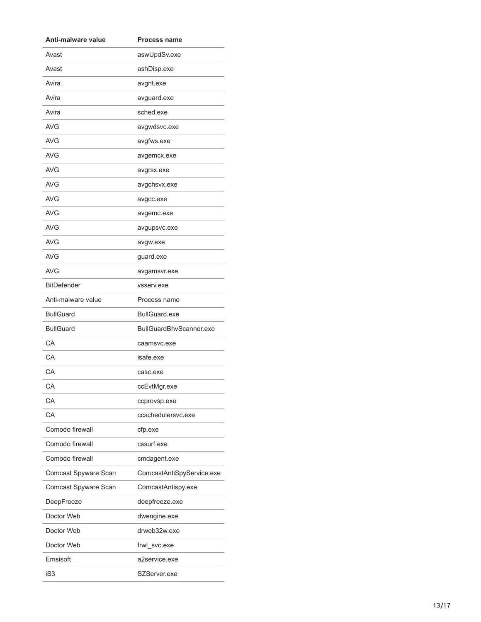| Anti-malware value   | <b>Process name</b>       |  |
|----------------------|---------------------------|--|
| Avast                | aswUpdSv.exe              |  |
| Avast                | ashDisp.exe               |  |
| Avira                | avgnt.exe                 |  |
| Avira                | avguard.exe               |  |
| Avira                | sched.exe                 |  |
| AVG                  | avgwdsvc.exe              |  |
| AVG                  | avgfws.exe                |  |
| AVG                  | avgemcx.exe               |  |
| AVG                  | avgrsx.exe                |  |
| AVG                  | avgchsvx.exe              |  |
| AVG                  | avgcc.exe                 |  |
| AVG                  | avgemc.exe                |  |
| AVG                  | avgupsvc.exe              |  |
| AVG                  | avgw.exe                  |  |
| AVG                  | guard.exe                 |  |
| AVG                  | avgamsvr.exe              |  |
| <b>BitDefender</b>   | vsserv.exe                |  |
| Anti-malware value   | Process name              |  |
| <b>BullGuard</b>     | <b>BullGuard.exe</b>      |  |
| <b>BullGuard</b>     | BullGuardBhvScanner.exe   |  |
| СA                   | caamsvc.exe               |  |
| СA                   | isafe.exe                 |  |
| CA                   | casc.exe                  |  |
| CA                   | ccEvtMgr.exe              |  |
| СA                   | ccprovsp.exe              |  |
| CA                   | ccschedulersvc.exe        |  |
| Comodo firewall      | cfp.exe                   |  |
| Comodo firewall      | cssurf.exe                |  |
| Comodo firewall      | cmdagent.exe              |  |
| Comcast Spyware Scan | ComcastAntiSpyService.exe |  |
| Comcast Spyware Scan | ComcastAntispy.exe        |  |
| DeepFreeze           | deepfreeze.exe            |  |
| Doctor Web           | dwengine.exe              |  |
| Doctor Web           | drweb32w.exe              |  |
| Doctor Web           | frwl_svc.exe              |  |
| Emsisoft             | a2service.exe             |  |
| iS3                  | SZServer.exe              |  |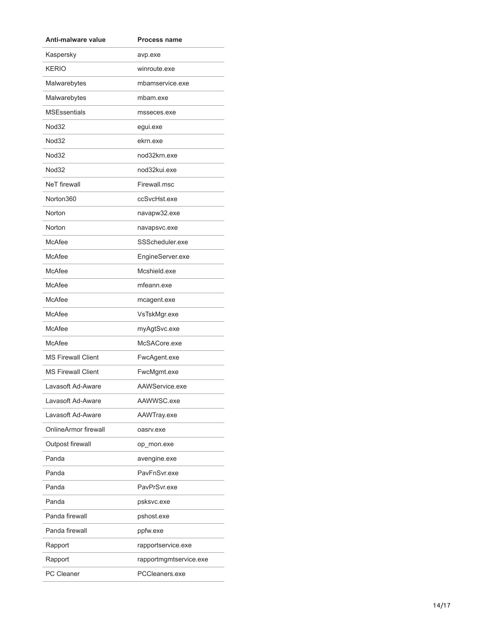| Anti-malware value        | <b>Process name</b>    |
|---------------------------|------------------------|
| Kaspersky                 | avp.exe                |
| <b>KERIO</b>              | winroute.exe           |
| Malwarebytes              | mbamservice.exe        |
| Malwarebytes              | mbam.exe               |
| <b>MSEssentials</b>       | msseces.exe            |
| Nod32                     | egui.exe               |
| Nod32                     | ekrn.exe               |
| Nod32                     | nod32krn.exe           |
| Nod32                     | nod32kui.exe           |
| <b>NeT</b> firewall       | Firewall.msc           |
| Norton360                 | ccSvcHst.exe           |
| Norton                    | navapw32.exe           |
| Norton                    | navapsvc.exe           |
| <b>McAfee</b>             | SSScheduler.exe        |
| <b>McAfee</b>             | EngineServer.exe       |
| <b>McAfee</b>             | Mcshield.exe           |
| <b>McAfee</b>             | mfeann.exe             |
| <b>McAfee</b>             | mcagent.exe            |
| <b>McAfee</b>             | VsTskMgr.exe           |
| <b>McAfee</b>             | myAgtSvc.exe           |
| <b>McAfee</b>             | McSACore.exe           |
| <b>MS Firewall Client</b> | FwcAgent.exe           |
| <b>MS Firewall Client</b> | FwcMgmt.exe            |
| Lavasoft Ad-Aware         | AAWService.exe         |
| Lavasoft Ad-Aware         | AAWWSC.exe             |
| Lavasoft Ad-Aware         | AAWTray.exe            |
| OnlineArmor firewall      | oasrv.exe              |
| Outpost firewall          | op_mon.exe             |
| Panda                     | avengine.exe           |
| Panda                     | PavFnSvr.exe           |
| Panda                     | PavPrSvr.exe           |
| Panda                     | psksvc.exe             |
| Panda firewall            | pshost.exe             |
| Panda firewall            | ppfw.exe               |
| Rapport                   | rapportservice.exe     |
| Rapport                   | rapportmgmtservice.exe |
| PC Cleaner                | PCCleaners.exe         |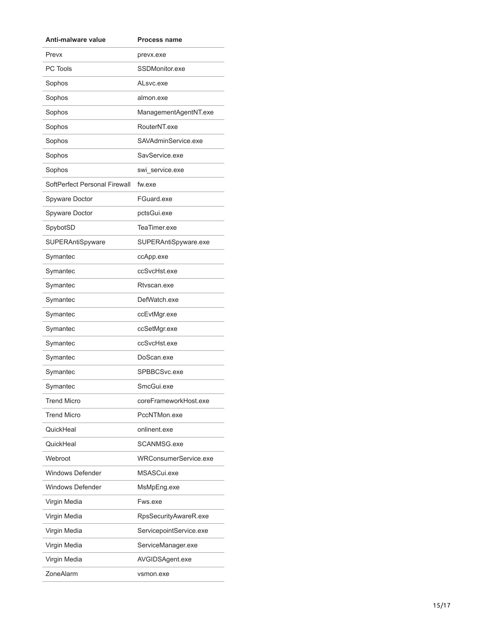| Anti-malware value            | <b>Process name</b>     |  |
|-------------------------------|-------------------------|--|
| Prevx                         | prevx.exe               |  |
| PC Tools                      | SSDMonitor.exe          |  |
| Sophos                        | ALsvc.exe               |  |
| Sophos                        | almon.exe               |  |
| Sophos                        | ManagementAgentNT.exe   |  |
| Sophos                        | RouterNT.exe            |  |
| Sophos                        | SAVAdminService.exe     |  |
| Sophos                        | SavService.exe          |  |
| Sophos                        | swi_service.exe         |  |
| SoftPerfect Personal Firewall | fw.exe                  |  |
| Spyware Doctor                | FGuard.exe              |  |
| Spyware Doctor                | pctsGui.exe             |  |
| SpybotSD                      | TeaTimer.exe            |  |
| SUPERAntiSpyware              | SUPERAntiSpyware.exe    |  |
| Symantec                      | ccApp.exe               |  |
| Symantec                      | ccSvcHst.exe            |  |
| Symantec                      | Rtvscan.exe             |  |
| Symantec                      | DefWatch.exe            |  |
| Symantec                      | ccEvtMgr.exe            |  |
| Symantec                      | ccSetMgr.exe            |  |
| Symantec                      | ccSvcHst.exe            |  |
| Symantec                      | DoScan.exe              |  |
| Symantec                      | SPBBCSvc.exe            |  |
| Symantec                      | SmcGui.exe              |  |
| <b>Trend Micro</b>            | coreFrameworkHost.exe   |  |
| Trend Micro                   | PccNTMon.exe            |  |
| QuickHeal                     | onlinent.exe            |  |
| QuickHeal                     | SCANMSG.exe             |  |
| Webroot                       | WRConsumerService.exe   |  |
| <b>Windows Defender</b>       | MSASCui.exe             |  |
| <b>Windows Defender</b>       | MsMpEng.exe             |  |
| Virgin Media                  | Fws.exe                 |  |
| Virgin Media                  | RpsSecurityAwareR.exe   |  |
| Virgin Media                  | ServicepointService.exe |  |
| Virgin Media                  | ServiceManager.exe      |  |
| Virgin Media                  | AVGIDSAgent.exe         |  |
| ZoneAlarm                     | vsmon.exe               |  |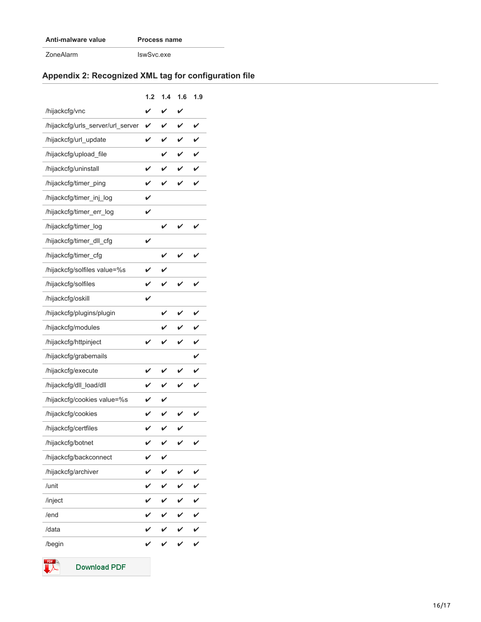# **Anti-malware value Process name**

ZoneAlarm IswSvc.exe

# **Appendix 2: Recognized XML tag for configuration file**

|                                   | 1.2 | 1.4 | 1.6 | 1.9 |
|-----------------------------------|-----|-----|-----|-----|
| /hijackcfg/vnc                    |     |     |     |     |
| /hijackcfg/urls_server/url_server | V   | V   | ✓   | V   |
| /hijackcfg/url_update             | V   |     |     |     |
| /hijackcfg/upload_file            |     | ✓   | ✓   | ✓   |
| /hijackcfg/uninstall              | V   | ✓   |     |     |
| /hijackcfg/timer_ping             | ✓   | ✓   | ✓   | ✓   |
| /hijackcfg/timer_inj_log          | ✓   |     |     |     |
| /hijackcfg/timer_err_log          | V   |     |     |     |
| /hijackcfg/timer_log              |     | V   |     |     |
| /hijackcfg/timer_dll_cfg          | V   |     |     |     |
| /hijackcfg/timer_cfg              |     |     |     |     |
| /hijackcfg/solfiles value=%s      | ✓   |     |     |     |
| /hijackcfg/solfiles               | V   |     | V   |     |
| /hijackcfg/oskill                 | V   |     |     |     |
| /hijackcfg/plugins/plugin         |     | ✓   |     | ✓   |
| /hijackcfg/modules                |     | V   |     |     |
| /hijackcfg/httpinject             | V   |     |     |     |
| /hijackcfg/grabemails             |     |     |     |     |
| /hijackcfg/execute                | ✓   |     |     |     |
| /hijackcfg/dll_load/dll           |     |     |     | V   |
| /hijackcfg/cookies value=%s       |     |     |     |     |
| /hijackcfg/cookies                |     |     |     |     |
| /hijackcfg/certfiles              | V   | ✓   | ✓   |     |
| /hijackcfg/botnet                 | V   | V   |     |     |
| /hijackcfg/backconnect            |     |     |     |     |
| /hijackcfg/archiver               |     |     |     |     |
| /unit                             |     |     |     |     |
| /inject                           |     |     |     |     |
| /end                              |     |     |     |     |
| /data                             |     |     |     |     |
| /begin                            |     |     |     |     |



**Download PDF**